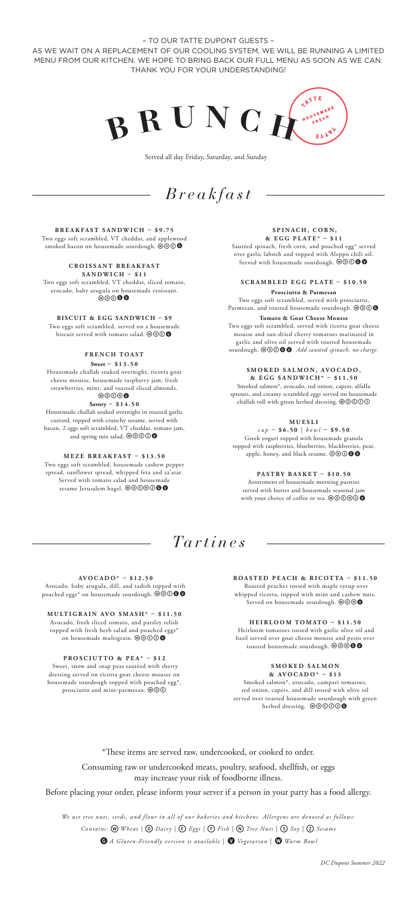– TO OUR TATTE DUPONT GUESTS – AS WE WAIT ON A REPLACEMENT OF OUR COOLING SYSTEM, WE WILL BE RUNNING A LIMITED MENU FROM OUR KITCHEN. WE HOPE TO BRING BACK OUR FULL MENU AS SOON AS WE CAN. THANK YOU FOR YOUR UNDERSTANDING!



Served all day Friday, Saturday, and Sunday

# *Breakfast*

**BREAKFAST SANDWICH – \$9.75** Two eggs soft scrambled, VT cheddar, and applewood smoked bacon on housemade sourdough. WOOO

## **C R O I S S A N T B R E A K F A S T**

**SANDWICH – \$11** Two eggs soft scrambled, VT cheddar, sliced tomato, avocado, baby arugula on housemade croissant.  $\circledcirc$ 

**BISCUIT & EGG SANDWICH – \$9** Two eggs soft scrambled, served on a housemade biscuit served with tomato salad.  $\textcircled{\tiny{w}}\textcircled{\tiny{w}}$ 

### **FRENCH TOAST**

**Sweet – \$13.50** Housemade challah soaked overnight, ricotta goat cheese mousse, housemade raspberry jam, fresh strawberries, mint, and toasted sliced almonds.

#### wdenv **Savory – \$14.50**

Housemade challah soaked overnight in roasted garlic custard, topped with crunchy sesame, served with bacon, 2 eggs soft scrambled, VT cheddar, tomato jam, and spring mix salad.  $\mathcal{O}\mathcal{O}\mathcal{O}$ 

### **MEZE BREAKFAST – \$13.50**

Two eggs soft scrambled, housemade cashew pepper spread, sunflower spread, whipped feta and za'atar. Served with tomato salad and housemade sesame Jerusalem bagel. @@ $\textcircled{\o}$ 

#### **SPINACH, CORN, & E G G P L AT E \* – \$ 1 1**

Sautéed spinach, fresh corn, and poached egg\* served over garlic labneh and topped with Aleppo chili oil. Served with housemade sourdough.  $\textcircled{\textcircled{\small{o}}}$ 

**SCRAMBLED EGG PLATE – \$10.50 Prosciutto & Parmesan**

Two eggs soft scrambled, served with prosciutto, Parmesan, and toasted housemade sourdough. @ OCO **Tomato & Goat Cheese Mousse**

Two eggs soft scrambled, served with ricotta goat cheese mousse and sun-dried cherry tomatoes marinated in garlic and olive oil served with toasted housemade sourdough. WOOOO *Add sautéed spinach, no charge*.

#### **S M O K E D S A L M O N , AV O C A D O , & EGG SANDWICH\* – \$11.50**

Smoked salmon\*, avocado, red onion, capers, alfalfa sprouts, and creamy scrambled eggs served on housemade<br>challah roll with green herbed dressing. @@©©©

**M U E S L I** 

*cup* **– \$6.50** | *bowl* **– \$9.50** Greek yogurt topped with housemade granola topped with raspberries, blueberries, blackberries, pear, apple, honey, and black sesame.  $\textcircled{0}\textcircled{0}$ 

**PASTRY BASKET – \$10.50** Assortment of housemade morning pastries served with butter and housemade seas with your choice of coffee or tea.  $\mathcal{O}\mathcal{O}\mathcal{O}$ 

## *Tartines*

**AVOCADO\* – \$12.50**

 Avocado, baby arugula, dill, and radish topped with poached eggs\* on housemade sourdough.  $\overset{\sim}{\mathbf{\Phi}}\mathbf{\mathbf{\Phi}}\mathbf{\mathbf{\Phi}}$ 

**MULTIGRAIN AVO SMASH\* – \$11.50** Avocado, fresh sliced tomato, and parsley relish topped with fresh herb salad and poached eggs\* on housemade multigrain. @@**@@** 

### **PROSCIUTTO & PEA\* – \$12**

 Sweet, snow and snap peas sautèed with sherry dressing served on ricotta goat cheese mousse on housemade sourdough topped with poached egg\*, prosciutto and mint-parmesan. @@®

**ROASTED PEACH & RICOTTA – \$11.50** Roasted peaches tossed with maple syrup over whipped ricotta, topped with mint and cashew nuts. Served on housemade sourdough. @ 000

**HEIRLOOM TOMATO – \$11.50** Heirloom tomatoes tossed with garlic olive oil and basil served over goat cheese mousse and pesto over toasted housemade sourdough. @@@@

#### **S M O K E D S A L M O N & AVOCADO\* – \$13**

Smoked salmon\*, avocado, campari tomatoes, red onion, capers, and dill tossed with olive oil served over toasted housemade sourdough with green herbed dressing. @@@@@

\*These items are served raw, undercooked, or cooked to order.

Consuming raw or undercooked meats, poultry, seafood, shellfish, or eggs may increase your risk of foodborne illness.

Before placing your order, please inform your server if a person in your party has a food allergy.

*We use tree nuts, seeds, and flour in all of our bakeries and kitchens. Allergens are denoted as follows:*

*Contains:* w *Wheat |* D *Dairy |* E*Eggs |* F*Fish |* n*Tree Nuts |* S*Soy |* Z*Sesame* 

**G** A Gluten-Friendly version is available | **O** Vegetarian | **W** Warm Bowl